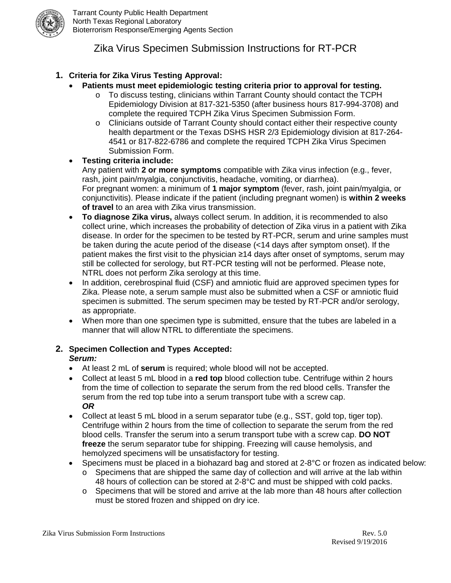

# Zika Virus Specimen Submission Instructions for RT-PCR

# **1. Criteria for Zika Virus Testing Approval:**

- **Patients must meet epidemiologic testing criteria prior to approval for testing.**
	- o To discuss testing, clinicians within Tarrant County should contact the TCPH Epidemiology Division at 817-321-5350 (after business hours 817-994-3708) and complete the required TCPH Zika Virus Specimen Submission Form.
	- o Clinicians outside of Tarrant County should contact either their respective county health department or the Texas DSHS HSR 2/3 Epidemiology division at 817-264- 4541 or 817-822-6786 and complete the required TCPH Zika Virus Specimen Submission Form.

# • **Testing criteria include:**

Any patient with **2 or more symptoms** compatible with Zika virus infection (e.g., fever, rash, joint pain/myalgia, conjunctivitis, headache, vomiting, or diarrhea). For pregnant women: a minimum of **1 major symptom** (fever, rash, joint pain/myalgia, or conjunctivitis). Please indicate if the patient (including pregnant women) is **within 2 weeks of travel** to an area with Zika virus transmission.

- **To diagnose Zika virus,** always collect serum. In addition, it is recommended to also collect urine, which increases the probability of detection of Zika virus in a patient with Zika disease. In order for the specimen to be tested by RT-PCR, serum and urine samples must be taken during the acute period of the disease (<14 days after symptom onset). If the patient makes the first visit to the physician ≥14 days after onset of symptoms, serum may still be collected for serology, but RT-PCR testing will not be performed. Please note, NTRL does not perform Zika serology at this time.
- In addition, cerebrospinal fluid (CSF) and amniotic fluid are approved specimen types for Zika. Please note, a serum sample must also be submitted when a CSF or amniotic fluid specimen is submitted. The serum specimen may be tested by RT-PCR and/or serology, as appropriate.
- When more than one specimen type is submitted, ensure that the tubes are labeled in a manner that will allow NTRL to differentiate the specimens.

## **2. Specimen Collection and Types Accepted:** *Serum:*

- At least 2 mL of **serum** is required; whole blood will not be accepted.
- Collect at least 5 mL blood in a **red top** blood collection tube. Centrifuge within 2 hours from the time of collection to separate the serum from the red blood cells. Transfer the serum from the red top tube into a serum transport tube with a screw cap. *OR*
- Collect at least 5 mL blood in a serum separator tube (e.g., SST, gold top, tiger top). Centrifuge within 2 hours from the time of collection to separate the serum from the red blood cells. Transfer the serum into a serum transport tube with a screw cap. **DO NOT freeze** the serum separator tube for shipping. Freezing will cause hemolysis, and hemolyzed specimens will be unsatisfactory for testing.
- Specimens must be placed in a biohazard bag and stored at 2-8°C or frozen as indicated below:  $\circ$  Specimens that are shipped the same day of collection and will arrive at the lab within
	- 48 hours of collection can be stored at 2-8°C and must be shipped with cold packs.  $\circ$  Specimens that will be stored and arrive at the lab more than 48 hours after collection
	- must be stored frozen and shipped on dry ice.

Zika Virus Submission Form Instructions Rev. 5.0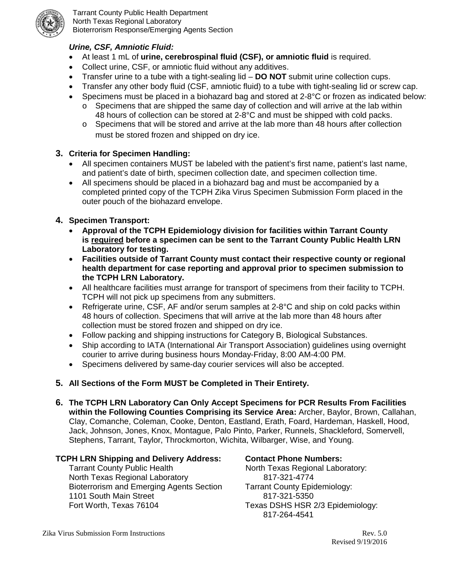

Tarrant County Public Health Department North Texas Regional Laboratory Bioterrorism Response/Emerging Agents Section

# *Urine, CSF, Amniotic Fluid:*

- At least 1 mL of **urine, cerebrospinal fluid (CSF), or amniotic fluid** is required.
- Collect urine, CSF, or amniotic fluid without any additives.
- Transfer urine to a tube with a tight-sealing lid **DO NOT** submit urine collection cups.
- Transfer any other body fluid (CSF, amniotic fluid) to a tube with tight-sealing lid or screw cap.
- Specimens must be placed in a biohazard bag and stored at 2-8°C or frozen as indicated below:
	- o Specimens that are shipped the same day of collection and will arrive at the lab within 48 hours of collection can be stored at 2-8°C and must be shipped with cold packs.
	- o Specimens that will be stored and arrive at the lab more than 48 hours after collection must be stored frozen and shipped on dry ice.

## **3. Criteria for Specimen Handling:**

- All specimen containers MUST be labeled with the patient's first name, patient's last name, and patient's date of birth, specimen collection date, and specimen collection time.
- All specimens should be placed in a biohazard bag and must be accompanied by a completed printed copy of the TCPH Zika Virus Specimen Submission Form placed in the outer pouch of the biohazard envelope.

## **4. Specimen Transport:**

- **Approval of the TCPH Epidemiology division for facilities within Tarrant County is required before a specimen can be sent to the Tarrant County Public Health LRN Laboratory for testing.**
- **Facilities outside of Tarrant County must contact their respective county or regional health department for case reporting and approval prior to specimen submission to the TCPH LRN Laboratory.**
- All healthcare facilities must arrange for transport of specimens from their facility to TCPH. TCPH will not pick up specimens from any submitters.
- Refrigerate urine, CSF, AF and/or serum samples at 2-8°C and ship on cold packs within 48 hours of collection. Specimens that will arrive at the lab more than 48 hours after collection must be stored frozen and shipped on dry ice.
- Follow packing and shipping instructions for Category B, Biological Substances.
- Ship according to IATA (International Air Transport Association) guidelines using overnight courier to arrive during business hours Monday-Friday, 8:00 AM-4:00 PM.
- Specimens delivered by same-day courier services will also be accepted.
- **5. All Sections of the Form MUST be Completed in Their Entirety.**
- **6. The TCPH LRN Laboratory Can Only Accept Specimens for PCR Results From Facilities within the Following Counties Comprising its Service Area:** Archer, Baylor, Brown, Callahan, Clay, Comanche, Coleman, Cooke, Denton, Eastland, Erath, Foard, Hardeman, Haskell, Hood, Jack, Johnson, Jones, Knox, Montague, Palo Pinto, Parker, Runnels, Shackleford, Somervell, Stephens, Tarrant, Taylor, Throckmorton, Wichita, Wilbarger, Wise, and Young.

#### **TCPH LRN Shipping and Delivery Address:**

Tarrant County Public Health North Texas Regional Laboratory Bioterrorism and Emerging Agents Section 1101 South Main Street Fort Worth, Texas 76104

#### **Contact Phone Numbers:**

 North Texas Regional Laboratory: 817-321-4774 Tarrant County Epidemiology: 817-321-5350 Texas DSHS HSR 2/3 Epidemiology: 817-264-4541